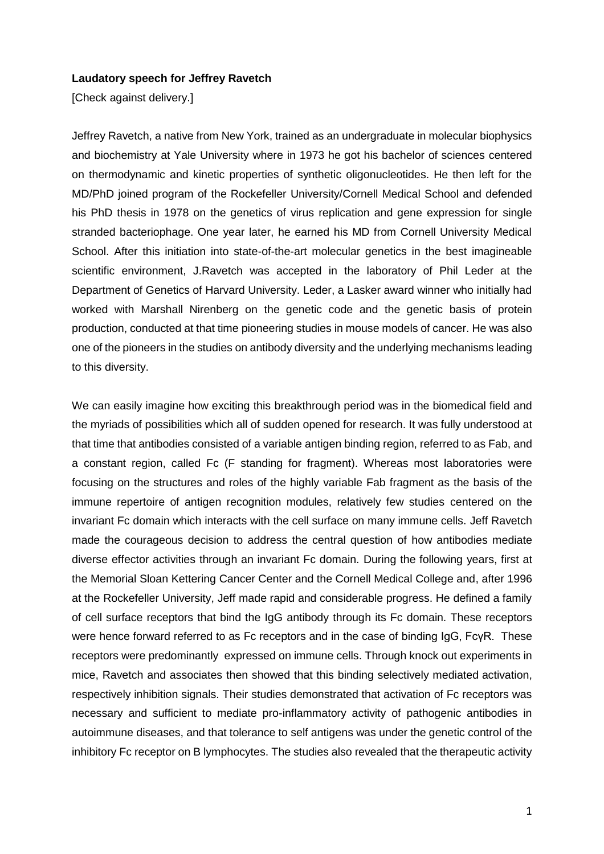## **Laudatory speech for Jeffrey Ravetch**

[Check against delivery.]

Jeffrey Ravetch, a native from New York, trained as an undergraduate in molecular biophysics and biochemistry at Yale University where in 1973 he got his bachelor of sciences centered on thermodynamic and kinetic properties of synthetic oligonucleotides. He then left for the MD/PhD joined program of the Rockefeller University/Cornell Medical School and defended his PhD thesis in 1978 on the genetics of virus replication and gene expression for single stranded bacteriophage. One year later, he earned his MD from Cornell University Medical School. After this initiation into state-of-the-art molecular genetics in the best imagineable scientific environment, J.Ravetch was accepted in the laboratory of Phil Leder at the Department of Genetics of Harvard University. Leder, a Lasker award winner who initially had worked with Marshall Nirenberg on the genetic code and the genetic basis of protein production, conducted at that time pioneering studies in mouse models of cancer. He was also one of the pioneers in the studies on antibody diversity and the underlying mechanisms leading to this diversity.

We can easily imagine how exciting this breakthrough period was in the biomedical field and the myriads of possibilities which all of sudden opened for research. It was fully understood at that time that antibodies consisted of a variable antigen binding region, referred to as Fab, and a constant region, called Fc (F standing for fragment). Whereas most laboratories were focusing on the structures and roles of the highly variable Fab fragment as the basis of the immune repertoire of antigen recognition modules, relatively few studies centered on the invariant Fc domain which interacts with the cell surface on many immune cells. Jeff Ravetch made the courageous decision to address the central question of how antibodies mediate diverse effector activities through an invariant Fc domain. During the following years, first at the Memorial Sloan Kettering Cancer Center and the Cornell Medical College and, after 1996 at the Rockefeller University, Jeff made rapid and considerable progress. He defined a family of cell surface receptors that bind the IgG antibody through its Fc domain. These receptors were hence forward referred to as Fc receptors and in the case of binding IgG, FcγR. These receptors were predominantly expressed on immune cells. Through knock out experiments in mice, Ravetch and associates then showed that this binding selectively mediated activation, respectively inhibition signals. Their studies demonstrated that activation of Fc receptors was necessary and sufficient to mediate pro-inflammatory activity of pathogenic antibodies in autoimmune diseases, and that tolerance to self antigens was under the genetic control of the inhibitory Fc receptor on B lymphocytes. The studies also revealed that the therapeutic activity